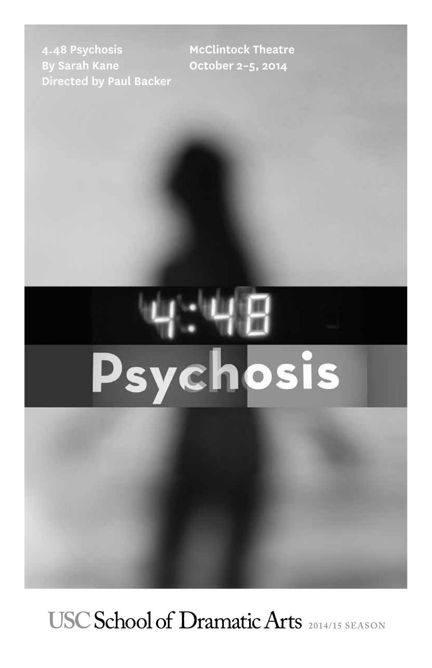**4.48 Psychosis By Sarah Kane Directed by Paul Backer** **McClintock Theatre October 2–5, 2014**

# Psychosis

USC School of Dramatic Arts 2014/15 SEASON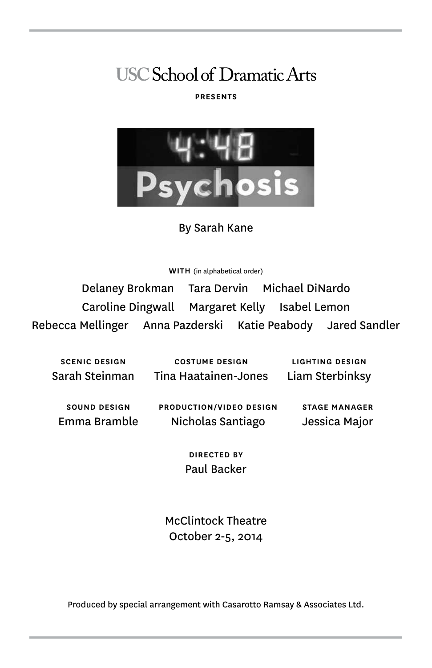# **USC School of Dramatic Arts**

### **PRESENTS**



By Sarah Kane

**WITH** (in alphabetical order)

Delaney Brokman Tara Dervin Michael DiNardo Caroline Dingwall Margaret Kelly Isabel Lemon Rebecca Mellinger Anna Pazderski Katie Peabody Jared Sandler

**SCENIC DESIGN** Sarah Steinman

**COSTUME DESIGN** Tina Haatainen-Jones

**LIGHTING DESIGN** Liam Sterbinksy

**SOUND DESIGN** Emma Bramble **PRODUCTION/VIDEO DESIGN** Nicholas Santiago

**STAGE MANAGER** Jessica Major

**DIRECTED BY** Paul Backer

McClintock Theatre October 2-5, 2014

Produced by special arrangement with Casarotto Ramsay & Associates Ltd.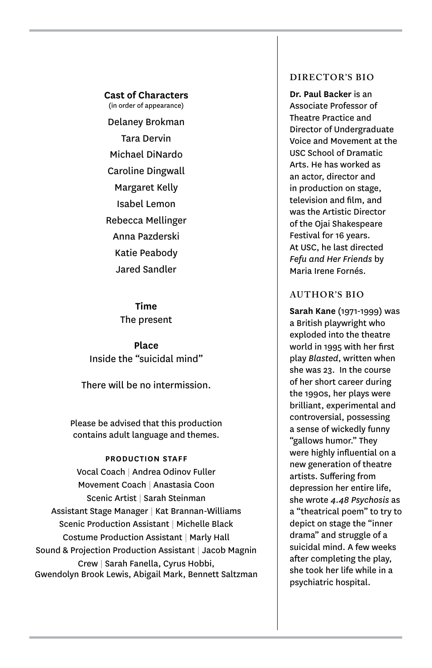**Cast of Characters**

(in order of appearance) Delaney Brokman Tara Dervin Michael DiNardo Caroline Dingwall Margaret Kelly Isabel Lemon Rebecca Mellinger Anna Pazderski Katie Peabody Jared Sandler

> **Time** The present

**Place** Inside the "suicidal mind"

There will be no intermission.

Please be advised that this production contains adult language and themes.

### **PRODUCTION STAFF**

Vocal Coach | Andrea Odinov Fuller Movement Coach | Anastasia Coon Scenic Artist | Sarah Steinman Assistant Stage Manager | Kat Brannan-Williams Scenic Production Assistant | Michelle Black Costume Production Assistant | Marly Hall Sound & Projection Production Assistant | Jacob Magnin Crew | Sarah Fanella, Cyrus Hobbi, Gwendolyn Brook Lewis, Abigail Mark, Bennett Saltzman

### **DIRECTOR'S BIO**

**Dr. Paul Backer** is an Associate Professor of Theatre Practice and Director of Undergraduate Voice and Movement at the USC School of Dramatic Arts. He has worked as an actor, director and in production on stage, television and film, and was the Artistic Director of the Ojai Shakespeare Festival for 16 years. At USC, he last directed *Fefu and Her Friends* by Maria Irene Fornés.

### **AUTHOR'S BIO**

**Sarah Kane** (1971-1999) was a British playwright who exploded into the theatre world in 1995 with her first play *Blasted*, written when she was 23. In the course of her short career during the 1990s, her plays were brilliant, experimental and controversial, possessing a sense of wickedly funny "gallows humor." They were highly influential on a new generation of theatre artists. Suffering from depression her entire life, she wrote *4.48 Psychosis* as a "theatrical poem" to try to depict on stage the "inner drama" and struggle of a suicidal mind. A few weeks after completing the play, she took her life while in a psychiatric hospital.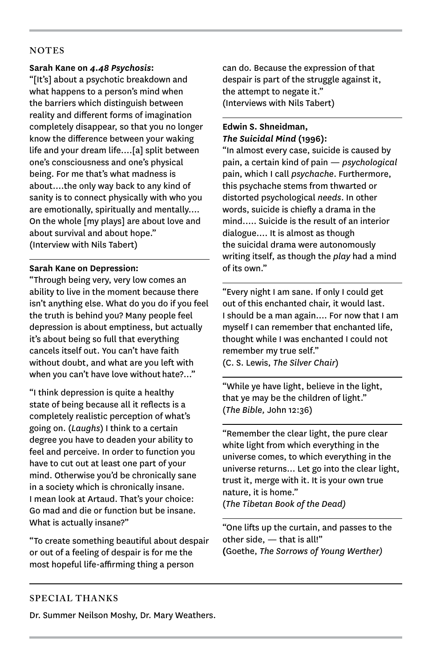### **NOTES**

### **Sarah Kane on** *4.48 Psychosis***:**

"[It's] about a psychotic breakdown and what happens to a person's mind when the barriers which distinguish between reality and different forms of imagination completely disappear, so that you no longer know the difference between your waking life and your dream life….[a] split between one's consciousness and one's physical being. For me that's what madness is about….the only way back to any kind of sanity is to connect physically with who you are emotionally, spiritually and mentally…. On the whole [my plays] are about love and about survival and about hope." (Interview with Nils Tabert)

### **Sarah Kane on Depression:**

"Through being very, very low comes an ability to live in the moment because there isn't anything else. What do you do if you feel the truth is behind you? Many people feel depression is about emptiness, but actually it's about being so full that everything cancels itself out. You can't have faith without doubt, and what are you left with when you can't have love without hate?..."

"I think depression is quite a healthy state of being because all it reflects is a completely realistic perception of what's going on. (*Laughs*) I think to a certain degree you have to deaden your ability to feel and perceive. In order to function you have to cut out at least one part of your mind. Otherwise you'd be chronically sane in a society which is chronically insane. I mean look at Artaud. That's your choice: Go mad and die or function but be insane. What is actually insane?"

"To create something beautiful about despair or out of a feeling of despair is for me the most hopeful life-affirming thing a person

can do. Because the expression of that despair is part of the struggle against it, the attempt to negate it." (Interviews with Nils Tabert)

### **Edwin S. Shneidman,**  *The Suicidal Mind* **(1996):**

"In almost every case, suicide is caused by pain, a certain kind of pain — *psychological* pain, which I call *psychache*. Furthermore, this psychache stems from thwarted or distorted psychological *needs*. In other words, suicide is chiefly a drama in the mind.…. Suicide is the result of an interior dialogue…. It is almost as though the suicidal drama were autonomously writing itself, as though the *play* had a mind of its own."

"Every night I am sane. If only I could get out of this enchanted chair, it would last. I should be a man again.... For now that I am myself I can remember that enchanted life, thought while I was enchanted I could not remember my true self." (C. S. Lewis, *The Silver Chair*)

"While ye have light, believe in the light, that ye may be the children of light." (*The Bible,* John 12:36)

"Remember the clear light, the pure clear white light from which everything in the universe comes, to which everything in the universe returns… Let go into the clear light, trust it, merge with it. It is your own true nature, it is home."

(*The Tibetan Book of the Dead)*

"One lifts up the curtain, and passes to the other side, — that is all!" **(**Goethe, *The Sorrows of Young Werther)*

### **SPECIAL THANKS**

Dr. Summer Neilson Moshy, Dr. Mary Weathers.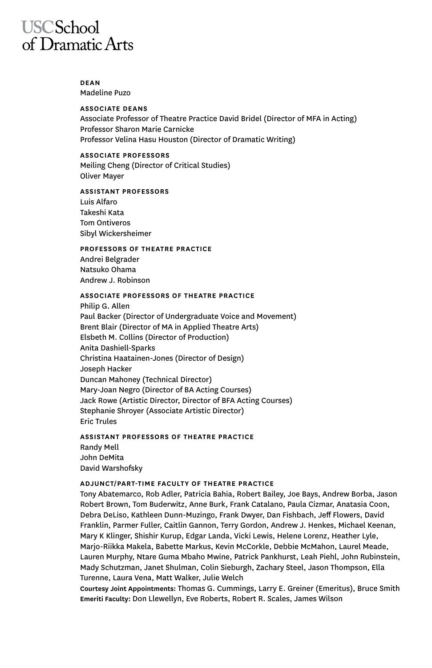## **USCSchool** of Dramatic Arts

### **DEAN** Madeline Puzo

### **ASSOCIATE DEANS**

Associate Professor of Theatre Practice David Bridel (Director of MFA in Acting) Professor Sharon Marie Carnicke Professor Velina Hasu Houston (Director of Dramatic Writing)

### **ASSOCIATE PROFESSORS**

Meiling Cheng (Director of Critical Studies) Oliver Mayer

### **ASSISTANT PROFESSORS**

Luis Alfaro Takeshi Kata Tom Ontiveros Sibyl Wickersheimer

### **PROFESSORS OF THEATRE PRACTICE**

Andrei Belgrader Natsuko Ohama Andrew J. Robinson

### **ASSOCIATE PROFESSORS OF THEATRE PRACTICE**

Philip G. Allen Paul Backer (Director of Undergraduate Voice and Movement) Brent Blair (Director of MA in Applied Theatre Arts) Elsbeth M. Collins (Director of Production) Anita Dashiell-Sparks Christina Haatainen-Jones (Director of Design) Joseph Hacker Duncan Mahoney (Technical Director) Mary-Joan Negro (Director of BA Acting Courses) Jack Rowe (Artistic Director, Director of BFA Acting Courses) Stephanie Shroyer (Associate Artistic Director) Eric Trules

### **ASSISTANT PROFESSORS OF THEATRE PRACTICE** Randy Mell John DeMita David Warshofsky

### **ADJUNCT/PART-TIME FACULTY OF THEATRE PRACTICE**

Tony Abatemarco, Rob Adler, Patricia Bahia, Robert Bailey, Joe Bays, Andrew Borba, Jason Robert Brown, Tom Buderwitz, Anne Burk, Frank Catalano, Paula Cizmar, Anatasia Coon, Debra DeLiso, Kathleen Dunn-Muzingo, Frank Dwyer, Dan Fishbach, Jeff Flowers, David Franklin, Parmer Fuller, Caitlin Gannon, Terry Gordon, Andrew J. Henkes, Michael Keenan, Mary K Klinger, Shishir Kurup, Edgar Landa, Vicki Lewis, Helene Lorenz, Heather Lyle, Marjo-Riikka Makela, Babette Markus, Kevin McCorkle, Debbie McMahon, Laurel Meade, Lauren Murphy, Ntare Guma Mbaho Mwine, Patrick Pankhurst, Leah Piehl, John Rubinstein, Mady Schutzman, Janet Shulman, Colin Sieburgh, Zachary Steel, Jason Thompson, Ella Turenne, Laura Vena, Matt Walker, Julie Welch

**Courtesy Joint Appointments:** Thomas G. Cummings, Larry E. Greiner (Emeritus), Bruce Smith **Emeriti Faculty:** Don Llewellyn, Eve Roberts, Robert R. Scales, James Wilson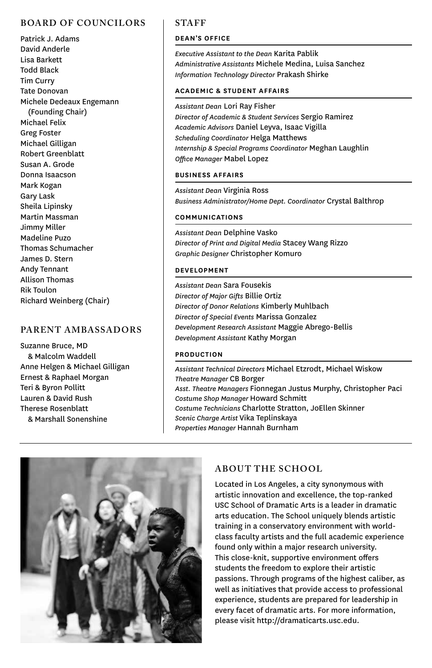### **BOARD OF COUNCILORS**

Patrick J. Adams David Anderle Lisa Barkett Todd Black Tim Curry Tate Donovan Michele Dedeaux Engemann (Founding Chair) Michael Felix Greg Foster Michael Gilligan Robert Greenblatt Susan A. Grode Donna Isaacson Mark Kogan Gary Lask Sheila Lipinsky Martin Massman Jimmy Miller Madeline Puzo Thomas Schumacher James D. Stern Andy Tennant Allison Thomas Rik Toulon Richard Weinberg (Chair)

### **PARENT AMBASSADORS**

Suzanne Bruce, MD & Malcolm Waddell Anne Helgen & Michael Gilligan Ernest & Raphael Morgan Teri & Byron Pollitt Lauren & David Rush Therese Rosenblatt & Marshall Sonenshine

### **STAFF**

### **DEAN'S OFFICE**

*Executive Assistant to the Dean* Karita Pablik *Administrative Assistants* Michele Medina, Luisa Sanchez *Information Technology Director* Prakash Shirke

### **ACADEMIC & STUDENT AFFAIRS**

*Assistant Dean* Lori Ray Fisher

*Director of Academic & Student Services* Sergio Ramirez *Academic Advisors* Daniel Leyva, Isaac Vigilla *Scheduling Coordinator* Helga Matthews *Internship & Special Programs Coordinator* Meghan Laughlin *Office Manager* Mabel Lopez

### **BUSINESS AFFAIRS**

*Assistant Dean* Virginia Ross *Business Administrator/Home Dept. Coordinator* Crystal Balthrop

### **COMMUNICATIONS**

*Assistant Dean* Delphine Vasko *Director of Print and Digital Media* Stacey Wang Rizzo *Graphic Designer* Christopher Komuro

### **DEVELOPMENT**

*Assistant Dean* Sara Fousekis *Director of Major Gifts* Billie Ortiz *Director of Donor Relations* Kimberly Muhlbach *Director of Special Events* Marissa Gonzalez *Development Research Assistant* Maggie Abrego-Bellis *Development Assistant* Kathy Morgan

### **PRODUCTION**

*Assistant Technical Directors* Michael Etzrodt, Michael Wiskow *Theatre Manager* CB Borger *Asst. Theatre Managers* Fionnegan Justus Murphy, Christopher Paci *Costume Shop Manager* Howard Schmitt *Costume Technicians* Charlotte Stratton, JoEllen Skinner *Scenic Charge Artist* Vika Teplinskaya *Properties Manager* Hannah Burnham



### **ABOUT THE SCHOOL**

Located in Los Angeles, a city synonymous with artistic innovation and excellence, the top-ranked USC School of Dramatic Arts is a leader in dramatic arts education. The School uniquely blends artistic training in a conservatory environment with worldclass faculty artists and the full academic experience found only within a major research university. This close-knit, supportive environment offers students the freedom to explore their artistic passions. Through programs of the highest caliber, as well as initiatives that provide access to professional experience, students are prepared for leadership in every facet of dramatic arts. For more information, please visit http://dramaticarts.usc.edu.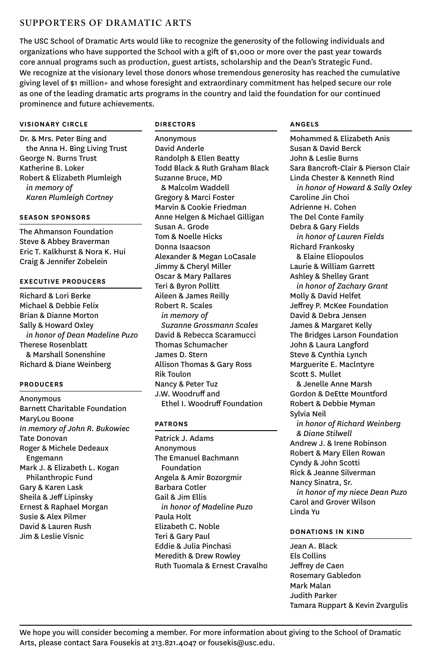### **SUPPORTERS OF DRAMATIC ARTS**

The USC School of Dramatic Arts would like to recognize the generosity of the following individuals and organizations who have supported the School with a gift of \$1,000 or more over the past year towards core annual programs such as production, guest artists, scholarship and the Dean's Strategic Fund. We recognize at the visionary level those donors whose tremendous generosity has reached the cumulative giving level of \$1 million+ and whose foresight and extraordinary commitment has helped secure our role as one of the leading dramatic arts programs in the country and laid the foundation for our continued prominence and future achievements.

### **VISIONARY CIRCLE**

Dr. & Mrs. Peter Bing and the Anna H. Bing Living Trust George N. Burns Trust Katherine B. Loker Robert & Elizabeth Plumleigh *in memory of Karen Plumleigh Cortney*

### **SEASON SPONSORS**

The Ahmanson Foundation Steve & Abbey Braverman Eric T. Kalkhurst & Nora K. Hui Craig & Jennifer Zobelein

### **EXECUTIVE PRODUCERS**

Richard & Lori Berke Michael & Debbie Felix Brian & Dianne Morton Sally & Howard Oxley *in honor of Dean Madeline Puzo* Therese Rosenblatt & Marshall Sonenshine Richard & Diane Weinberg

### **PRODUCERS**

Anonymous Barnett Charitable Foundation MaryLou Boone *In memory of John R. Bukowiec* Tate Donovan Roger & Michele Dedeaux Engemann Mark J. & Elizabeth L. Kogan Philanthropic Fund Gary & Karen Lask Sheila & Jeff Lipinsky Ernest & Raphael Morgan Susie & Alex Pilmer David & Lauren Rush Jim & Leslie Visnic

### **DIRECTORS**

Anonymous David Anderle Randolph & Ellen Beatty Todd Black & Ruth Graham Black Suzanne Bruce, MD & Malcolm Waddell Gregory & Marci Foster Marvin & Cookie Friedman Anne Helgen & Michael Gilligan Susan A. Grode Tom & Noelle Hicks Donna Isaacson Alexander & Megan LoCasale Jimmy & Cheryl Miller Oscar & Mary Pallares Teri & Byron Pollitt Aileen & James Reilly Robert R. Scales *in memory of Suzanne Grossmann Scales* David & Rebecca Scaramucci Thomas Schumacher James D. Stern Allison Thomas & Gary Ross Rik Toulon Nancy & Peter Tuz J.W. Woodruff and Ethel I. Woodruff Foundation

### **PATRONS**

Patrick J. Adams Anonymous The Emanuel Bachmann Foundation Angela & Amir Bozorgmir Barbara Cotler Gail & Jim Ellis *in honor of Madeline Puzo* Paula Holt Elizabeth C. Noble Teri & Gary Paul Eddie & Julia Pinchasi Meredith & Drew Rowley Ruth Tuomala & Ernest Cravalho

### **ANGELS**

Mohammed & Elizabeth Anis Susan & David Berck John & Leslie Burns Sara Bancroft-Clair & Pierson Clair Linda Chester & Kenneth Rind *in honor of Howard & Sally Oxley* Caroline Jin Choi Adrienne H. Cohen The Del Conte Family Debra & Gary Fields *in honor of Lauren Fields* Richard Frankosky & Elaine Eliopoulos Laurie & William Garrett Ashley & Shelley Grant *in honor of Zachary Grant* Molly & David Helfet Jeffrey P. McKee Foundation David & Debra Jensen James & Margaret Kelly The Bridges Larson Foundation John & Laura Langford Steve & Cynthia Lynch Marguerite E. Maclntyre Scott S. Mullet & Jenelle Anne Marsh Gordon & DeEtte Mountford Robert & Debbie Myman Sylvia Neil *in honor of Richard Weinberg & Diane Stilwell* Andrew J. & Irene Robinson Robert & Mary Ellen Rowan Cyndy & John Scotti Rick & Jeanne Silverman Nancy Sinatra, Sr. *in honor of my niece Dean Puzo* Carol and Grover Wilson Linda Yu

### **DONATIONS IN KIND**

Jean A. Black Els Collins Jeffrey de Caen Rosemary Gabledon Mark Malan Judith Parker Tamara Ruppart & Kevin Zvargulis